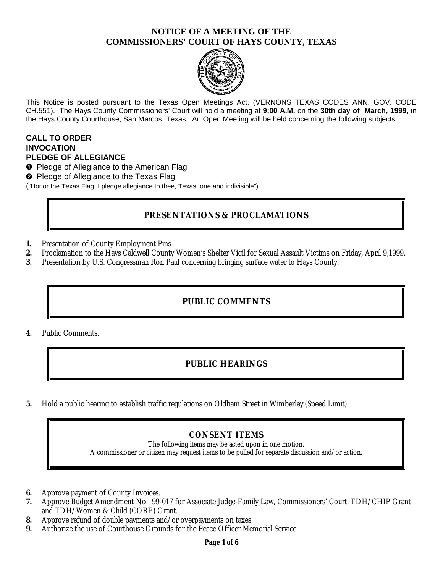## **NOTICE OF A MEETING OF THE COMMISSIONERS' COURT OF HAYS COUNTY, TEXAS**



This Notice is posted pursuant to the Texas Open Meetings Act. (VERNONS TEXAS CODES ANN. GOV. CODE CH.551). The Hays County Commissioners' Court will hold a meeting at **9:00 A.M.** on the **30th day of March, 1999,** in the Hays County Courthouse, San Marcos, Texas. An Open Meeting will be held concerning the following subjects:

#### **CALL TO ORDER INVOCATION PLEDGE OF ALLEGIANCE**

- **O** Pledge of Allegiance to the American Flag
- <sup>2</sup> Pledge of Allegiance to the Texas Flag

("Honor the Texas Flag; I pledge allegiance to thee, Texas, one and indivisible")

## **PRESENTATIONS & PROCLAMATIONS**

- **1.** Presentation of County Employment Pins.
- **2.** Proclamation to the Hays Caldwell County Women's Shelter Vigil for Sexual Assault Victims on Friday, April 9,1999.
- **3.** Presentation by U.S. Congressman Ron Paul concerning bringing surface water to Hays County.

## **PUBLIC COMMENTS**

**4.** Public Comments.

# **PUBLIC HEARINGS**

**5.** Hold a public hearing to establish traffic regulations on Oldham Street in Wimberley.(Speed Limit)

## **CONSENT ITEMS**

The following items may be acted upon in one motion. A commissioner or citizen may request items to be pulled for separate discussion and/or action.

- **6.** Approve payment of County Invoices.
- **7.** Approve Budget Amendment No. 99-017 for Associate Judge-Family Law, Commissioners' Court, TDH/CHIP Grant and TDH/Women & Child (CORE) Grant.
- **8.** Approve refund of double payments and/or overpayments on taxes.
- **9.** Authorize the use of Courthouse Grounds for the Peace Officer Memorial Service.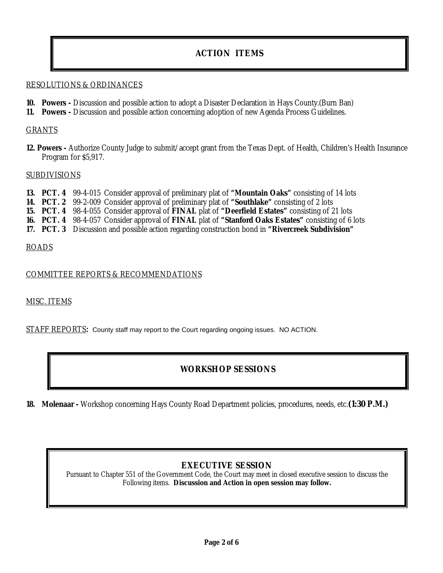# **ACTION ITEMS**

#### RESOLUTIONS & ORDINANCES

- **10. Powers -** Discussion and possible action to adopt a Disaster Declaration in Hays County.(Burn Ban)
- **11. Powers** Discussion and possible action concerning adoption of new Agenda Process Guidelines.

#### GRANTS

**12. Powers -** Authorize County Judge to submit/accept grant from the Texas Dept. of Health, Children's Health Insurance Program for \$5,917.

#### **SUBDIVISIONS**

- **13. PCT. 4** 99-4-015 Consider approval of preliminary plat of **"Mountain Oaks"** consisting of 14 lots
- **14. PCT. 2** 99-2-009 Consider approval of preliminary plat of **"Southlake"** consisting of 2 lots
- **15. PCT. 4** 98-4-055 Consider approval of **FINAL** plat of **"Deerfield Estates"** consisting of 21 lots
- **16. PCT. 4** 98-4-057 Consider approval of **FINAL** plat of **"Stanford Oaks Estates"** consisting of 6 lots
- **17. PCT. 3** Discussion and possible action regarding construction bond in **"Rivercreek Subdivision"**

#### ROADS

#### COMMITTEE REPORTS & RECOMMENDATIONS

#### MISC. ITEMS

STAFF REPORTS**:** County staff may report to the Court regarding ongoing issues. NO ACTION.

## **WORKSHOP SESSIONS**

**18. Molenaar -** Workshop concerning Hays County Road Department policies, procedures, needs, etc.**(1:30 P.M.)**

#### **EXECUTIVE SESSION**

Pursuant to Chapter 551 of the Government Code, the Court may meet in closed executive session to discuss the Following items. **Discussion and Action in open session may follow.**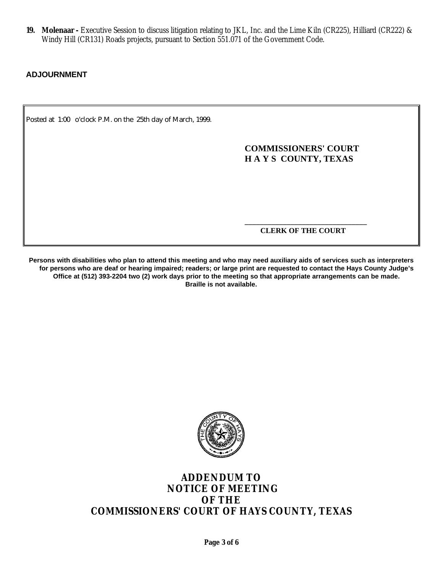**19. Molenaar -** Executive Session to discuss litigation relating to JKL, Inc. and the Lime Kiln (CR225), Hilliard (CR222) & Windy Hill (CR131) Roads projects, pursuant to Section 551.071 of the Government Code.

#### **ADJOURNMENT**

Posted at 1:00 o'clock P.M. on the 25th day of March, 1999.

**COMMISSIONERS' COURT H A Y S COUNTY, TEXAS**

**\_\_\_\_\_\_\_\_\_\_\_\_\_\_\_\_\_\_\_\_\_\_\_\_\_\_\_\_\_\_\_\_ CLERK OF THE COURT**

**Persons with disabilities who plan to attend this meeting and who may need auxiliary aids of services such as interpreters for persons who are deaf or hearing impaired; readers; or large print are requested to contact the Hays County Judge's Office at (512) 393-2204 two (2) work days prior to the meeting so that appropriate arrangements can be made. Braille is not available.**



# **ADDENDUM TO NOTICE OF MEETING OF THE COMMISSIONERS' COURT OF HAYS COUNTY, TEXAS**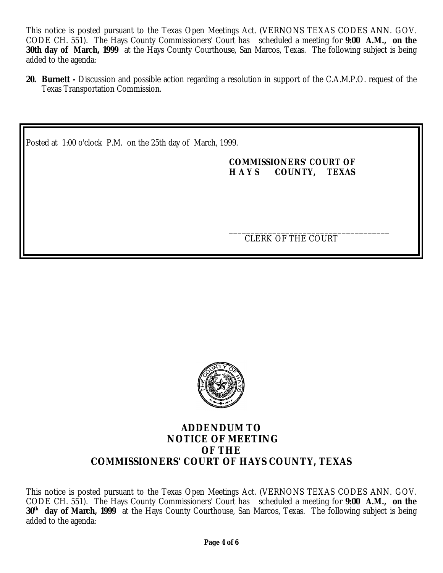This notice is posted pursuant to the Texas Open Meetings Act. (VERNONS TEXAS CODES ANN. GOV. CODE CH. 551). The Hays County Commissioners' Court has scheduled a meeting for **9:00 A.M., on the 30th day of March, 1999** at the Hays County Courthouse, San Marcos, Texas. The following subject is being added to the agenda:

**20. Burnett -** Discussion and possible action regarding a resolution in support of the C.A.M.P.O. request of the Texas Transportation Commission.

Posted at 1:00 o'clock P.M. on the 25th day of March, 1999.

## **COMMISSIONERS' COURT OF H A Y S COUNTY, TEXAS**

\_\_\_\_\_\_\_\_\_\_\_\_\_\_\_\_\_\_\_\_\_\_\_\_\_\_\_\_\_\_\_\_\_\_\_\_\_ CLERK OF THE COURT



## **ADDENDUM TO NOTICE OF MEETING OF THE COMMISSIONERS' COURT OF HAYS COUNTY, TEXAS**

This notice is posted pursuant to the Texas Open Meetings Act. (VERNONS TEXAS CODES ANN. GOV. CODE CH. 551). The Hays County Commissioners' Court has scheduled a meeting for **9:00 A.M., on the 30th day of March, 1999** at the Hays County Courthouse, San Marcos, Texas. The following subject is being added to the agenda: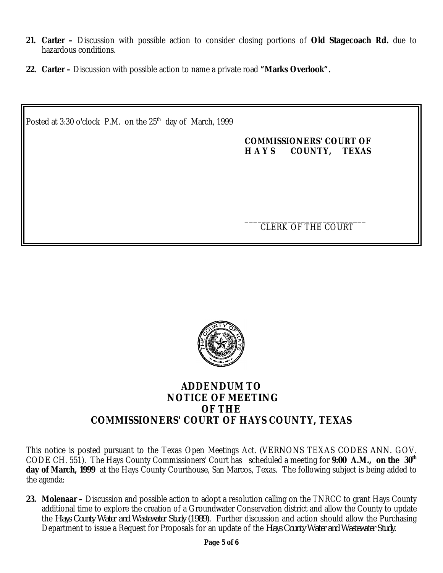- **21. Carter –** Discussion with possible action to consider closing portions of **Old Stagecoach Rd.** due to hazardous conditions.
- **22. Carter** Discussion with possible action to name a private road **"Marks Overlook".**

Posted at 3:30 o'clock P.M. on the 25<sup>th</sup> day of March, 1999

## **COMMISSIONERS' COURT OF H A Y S COUNTY, TEXAS**

\_\_\_\_\_\_\_\_\_\_\_\_\_\_\_\_\_\_\_\_\_\_\_\_\_\_\_\_ CLERK OF THE COURT



# **ADDENDUM TO NOTICE OF MEETING OF THE COMMISSIONERS' COURT OF HAYS COUNTY, TEXAS**

This notice is posted pursuant to the Texas Open Meetings Act. (VERNONS TEXAS CODES ANN. GOV. CODE CH. 551). The Hays County Commissioners' Court has scheduled a meeting for **9:00 A.M., on the 30th day of March, 1999** at the Hays County Courthouse, San Marcos, Texas. The following subject is being added to the agenda:

**23. Molenaar –** Discussion and possible action to adopt a resolution calling on the TNRCC to grant Hays County additional time to explore the creation of a Groundwater Conservation district and allow the County to update the *Hays County Water and Wastewater Study (1989).* Further discussion and action should allow the Purchasing Department to issue a Request for Proposals for an update of the *Hays County Water and Wastewater Study.*